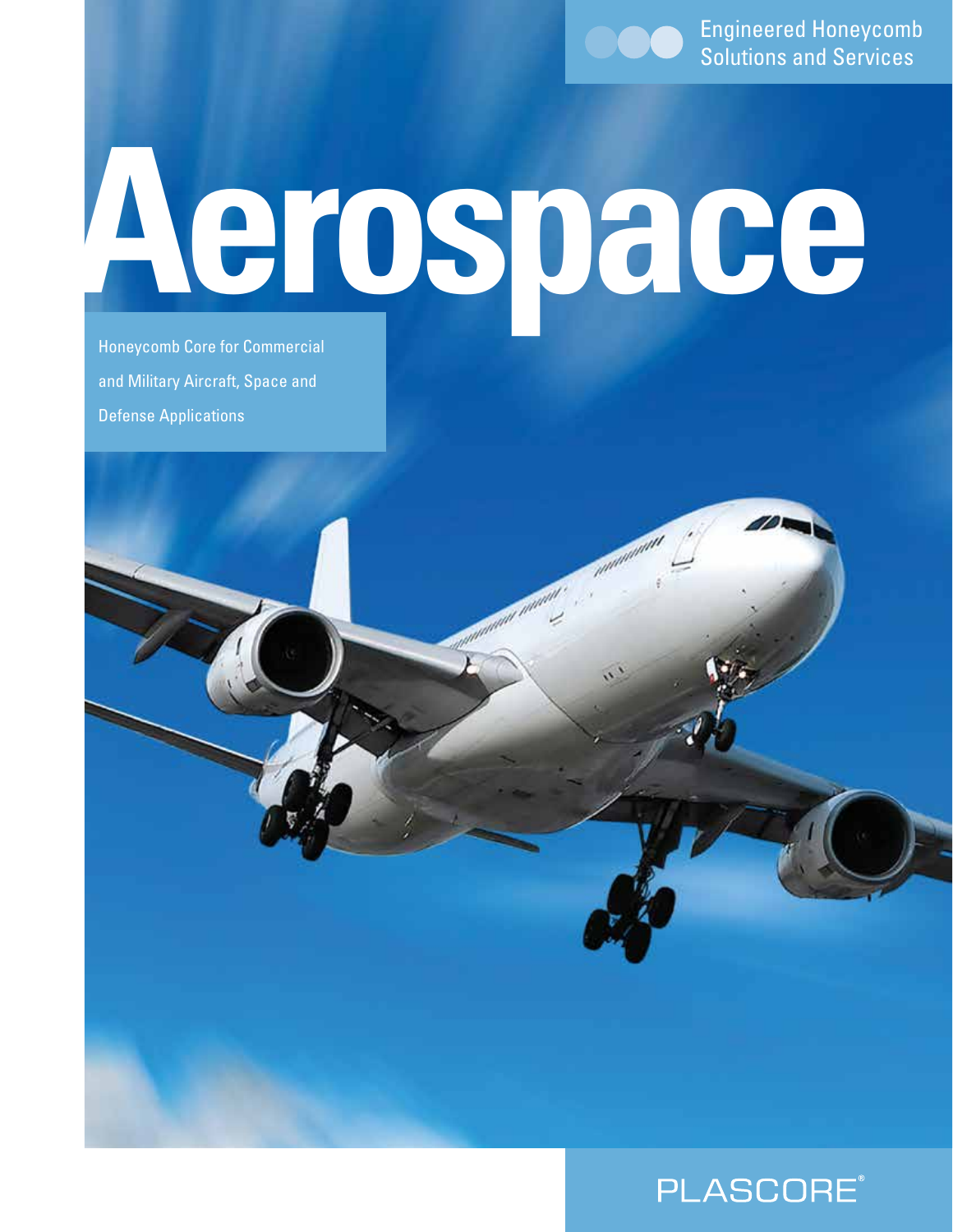Engineered Honeycomb Solutions and Services

# **Aerospace**

Honeycomb Core for Commercial and Military Aircraft, Space and Defense Applications

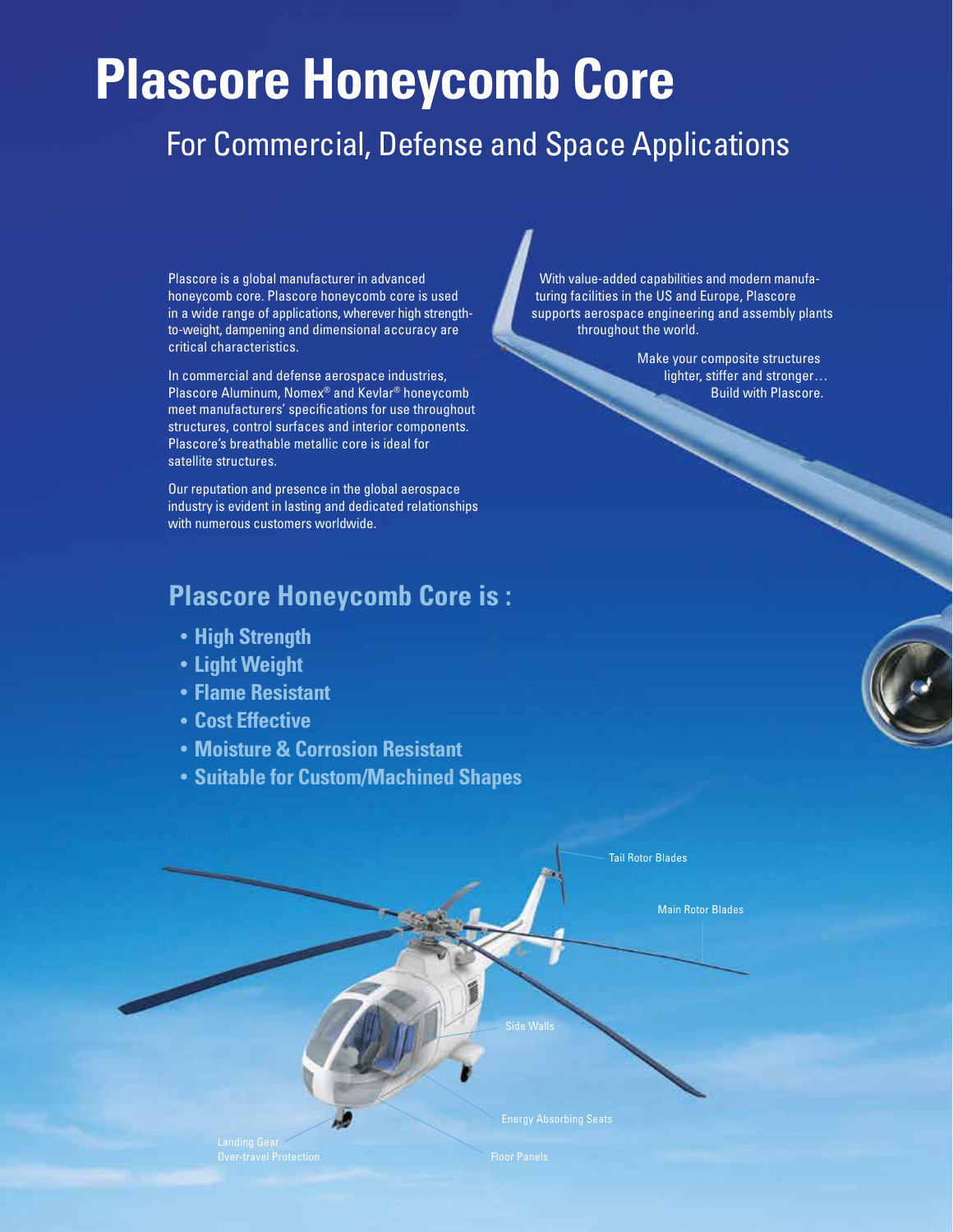# **Plascore Honeycomb Core**

# For Commercial, Defense and Space Applications

Plascore is a global manufacturer in advanced honeycomb core. Plascore honeycomb core is used in a wide range of applications, wherever high strengthto-weight, dampening and dimensional accuracy are critical characteristics.

In commercial and defense aerospace industries, Plascore Aluminum, Nomex® and Kevlar® honeycomb meet manufacturers' specifications for use throughout structures, control surfaces and interior components. Plascore's breathable metallic core is ideal for satellite structures.

Our reputation and presence in the global aerospace industry is evident in lasting and dedicated relationships with numerous customers worldwide.

#### **Plascore Honeycomb Core is :**

- **• High Strength**
- **• Light Weight**
- **• Flame Resistant**
- **• Cost Effective**
- **• Moisture & Corrosion Resistant**
- **• Suitable for Custom/Machined Shapes**

Energy Absorbing Seats Side Walls Tail Rotor Blades Main Rotor Blades

 With value-added capabilities and modern manufa turing facilities in the US and Europe, Plascore supports aerospace engineering and assembly plants throughout the world.

> Make your composite structures lighter, stiffer and stronger... Build with Plascore.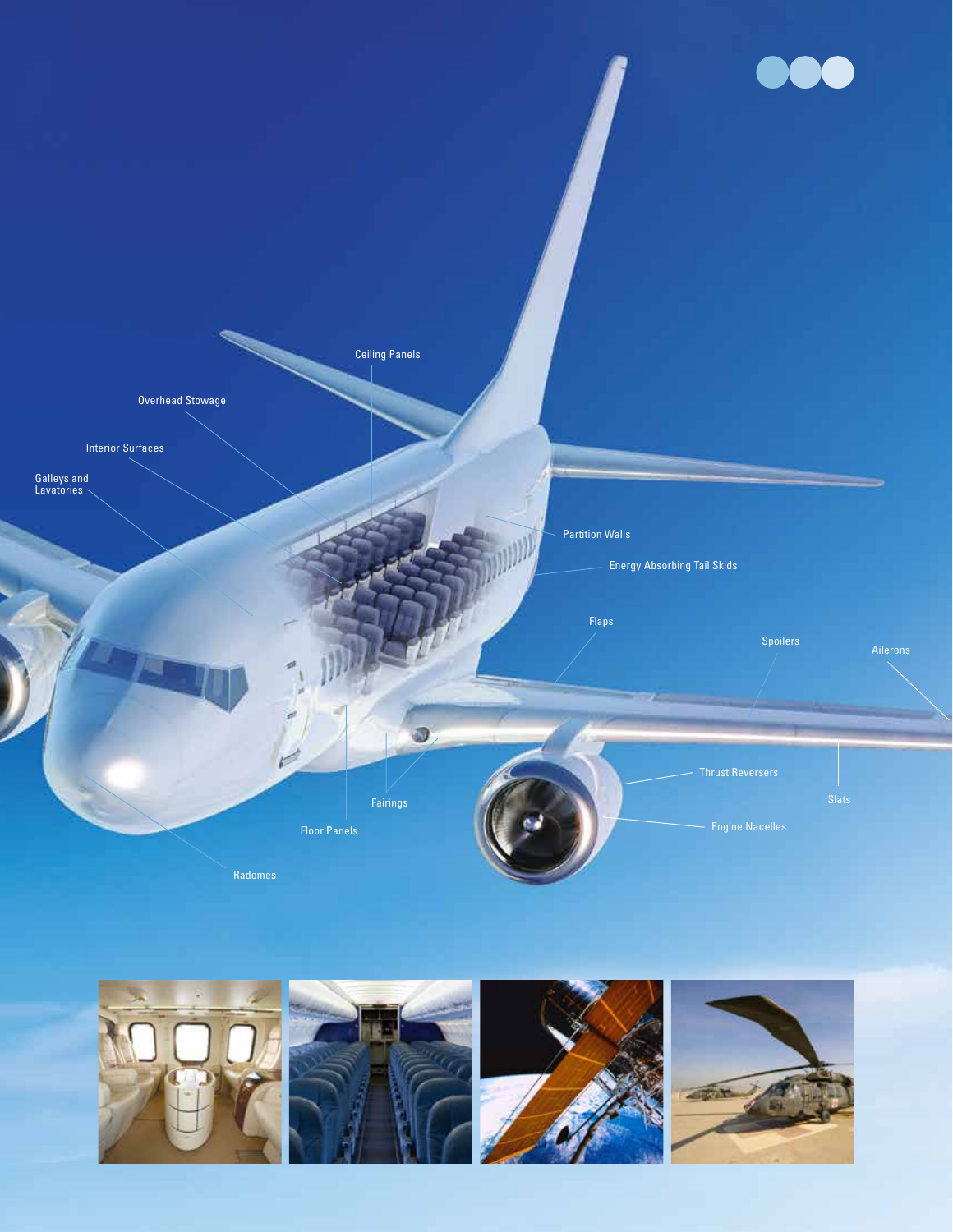

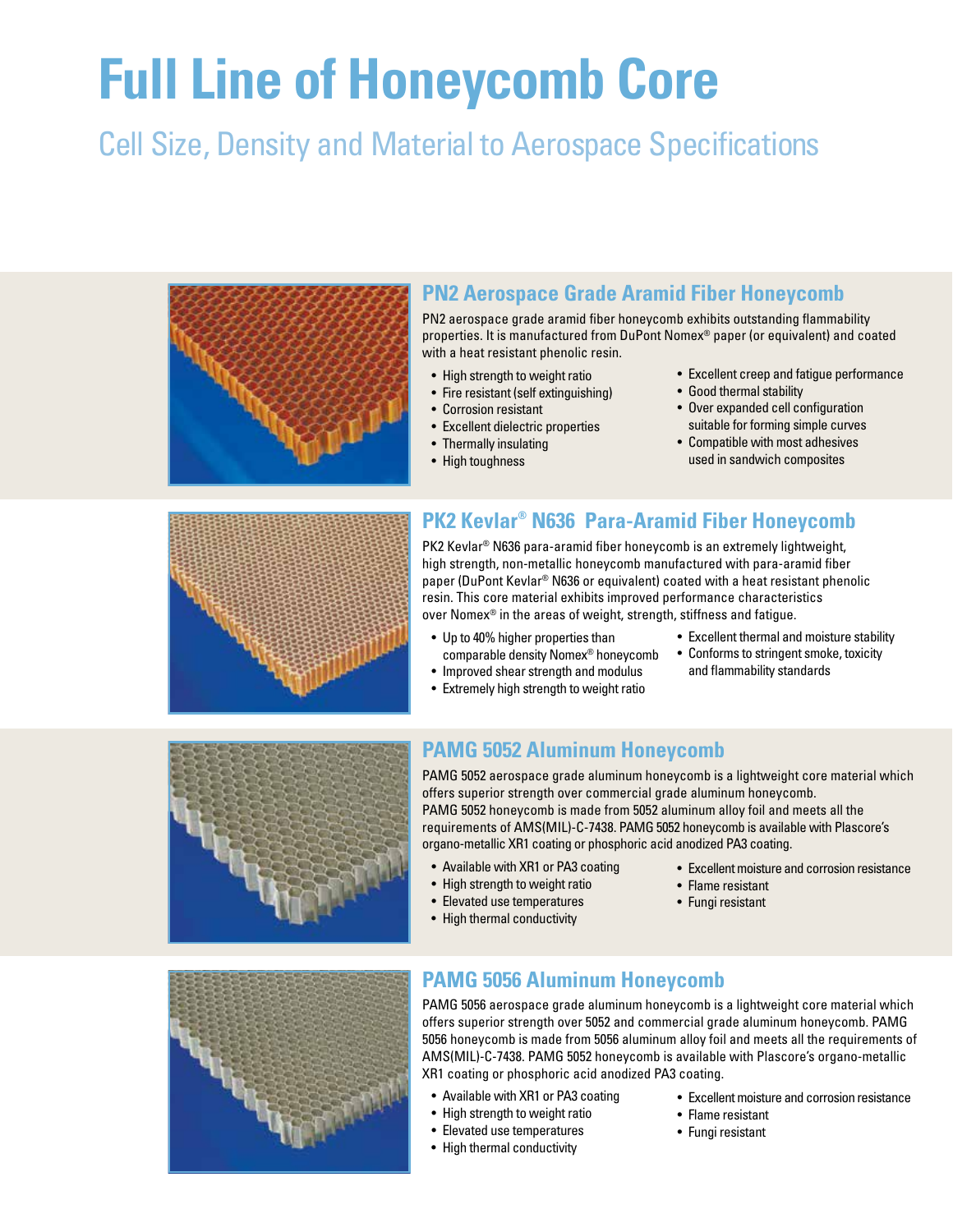# **Full Line of Honeycomb Core**

# Cell Size, Density and Material to Aerospace Specifications



#### **PN2 Aerospace Grade Aramid Fiber Honeycomb**

PN2 aerospace grade aramid fiber honeycomb exhibits outstanding flammability properties. It is manufactured from DuPont Nomex® paper (or equivalent) and coated with a heat resistant phenolic resin.

- High strength to weight ratio
- Fire resistant (self extinguishing)
- Corrosion resistant
- Excellent dielectric properties
- Thermally insulating
- High toughness
- Excellent creep and fatigue performance
- Good thermal stability
- Over expanded cell configuration suitable for forming simple curves
- Compatible with most adhesives used in sandwich composites



#### **PK2 Kevlar® N636 Para-Aramid Fiber Honeycomb**

PK2 Kevlar<sup>®</sup> N636 para-aramid fiber honeycomb is an extremely lightweight, high strength, non-metallic honeycomb manufactured with para-aramid fiber paper (DuPont Kevlar® N636 or equivalent) coated with a heat resistant phenolic resin. This core material exhibits improved performance characteristics over Nomex® in the areas of weight, strength, stiffness and fatigue.

- Up to 40% higher properties than comparable density Nomex® honeycomb
- Extremely high strength to weight ratio
- Excellent thermal and moisture stability
- Conforms to stringent smoke, toxicity and flammability standards



#### • Improved shear strength and modulus

#### **PAMG 5052 Aluminum Honeycomb**

PAMG 5052 aerospace grade aluminum honeycomb is a lightweight core material which offers superior strength over commercial grade aluminum honeycomb. PAMG 5052 honeycomb is made from 5052 aluminum alloy foil and meets all the requirements of AMS(MIL)-C-7438. PAMG 5052 honeycomb is available with Plascore's organo-metallic XR1 coating or phosphoric acid anodized PA3 coating.

- Available with XR1 or PA3 coating
- High strength to weight ratio
- Elevated use temperatures
- High thermal conductivity
- Excellent moisture and corrosion resistance
- Flame resistant
- Fungi resistant



#### **PAMG 5056 Aluminum Honeycomb**

PAMG 5056 aerospace grade aluminum honeycomb is a lightweight core material which offers superior strength over 5052 and commercial grade aluminum honeycomb. PAMG 5056 honeycomb is made from 5056 aluminum alloy foil and meets all the requirements of AMS(MIL)-C-7438. PAMG 5052 honeycomb is available with Plascore's organo-metallic XR1 coating or phosphoric acid anodized PA3 coating.

- Available with XR1 or PA3 coating
- High strength to weight ratio
- Elevated use temperatures
- High thermal conductivity
- Excellent moisture and corrosion resistance
- Flame resistant
- Fungi resistant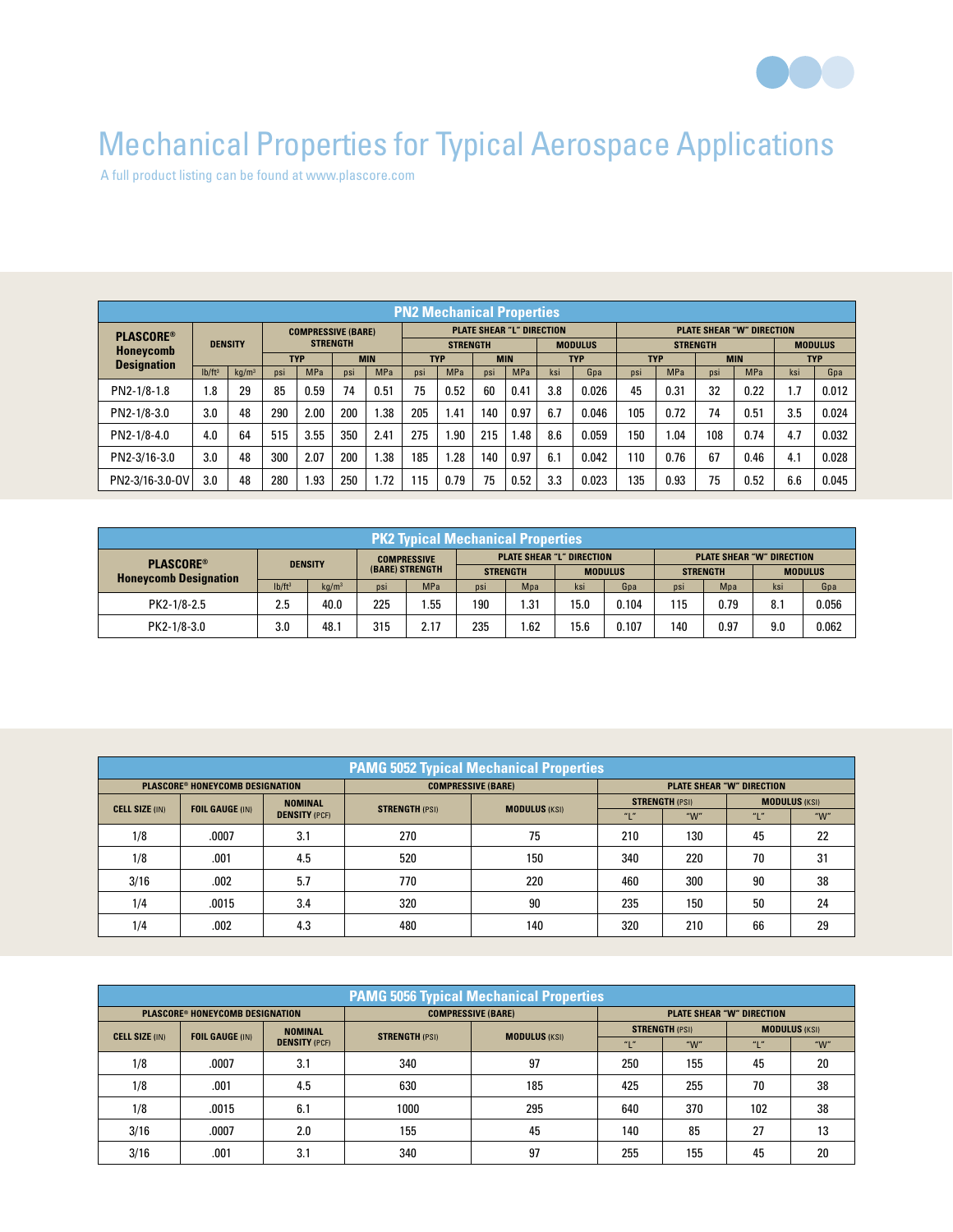

# Mechanical Properties for Typical Aerospace Applications

A full product listing can be found at www.plascore.com

| <b>PN2 Mechanical Properties</b> |                |                   |                                              |            |            |                 |                                  |                          |                |            |                 |                                  |            |                |            |            |            |       |
|----------------------------------|----------------|-------------------|----------------------------------------------|------------|------------|-----------------|----------------------------------|--------------------------|----------------|------------|-----------------|----------------------------------|------------|----------------|------------|------------|------------|-------|
| <b>PLASCORE®</b>                 | <b>DENSITY</b> |                   | <b>COMPRESSIVE (BARE)</b><br><b>STRENGTH</b> |            |            |                 | <b>PLATE SHEAR "L" DIRECTION</b> |                          |                |            |                 | <b>PLATE SHEAR "W" DIRECTION</b> |            |                |            |            |            |       |
| <b>Honeycomb</b>                 |                |                   |                                              |            |            | <b>STRENGTH</b> |                                  |                          | <b>MODULUS</b> |            | <b>STRENGTH</b> |                                  |            | <b>MODULUS</b> |            |            |            |       |
| <b>Designation</b>               |                |                   | <b>TYP</b>                                   |            | <b>MIN</b> |                 |                                  | <b>TYP</b><br><b>MIN</b> |                |            | <b>TYP</b>      |                                  | <b>TYP</b> |                | <b>MIN</b> |            | <b>TYP</b> |       |
|                                  | $Ib/ft^3$      | kg/m <sup>3</sup> | <b>DSI</b>                                   | <b>MPa</b> | psi        | <b>MPa</b>      | psi                              | <b>MPa</b>               | DSİ            | <b>MPa</b> | ksi             | Gpa                              | psi        | <b>MPa</b>     | <b>DSI</b> | <b>MPa</b> | ksi        | Gpa   |
| PN2-1/8-1.8                      | 1.8            | 29                | 85                                           | 0.59       | 74         | 0.51            | 75                               | 0.52                     | 60             | 0.41       | 3.8             | 0.026                            | 45         | 0.31           | 32         | 0.22       | 1.7        | 0.012 |
| PN2-1/8-3.0                      | 3.0            | 48                | 290                                          | 2.00       | 200        | l.38            | 205                              | l.41                     | 140            | 0.97       | 6.7             | 0.046                            | 105        | 0.72           | 74         | 0.51       | 3.5        | 0.024 |
| PN2-1/8-4.0                      | 4.0            | 64                | 515                                          | 3.55       | 350        | 2.41            | 275                              | .90                      | 215            | .48        | 8.6             | 0.059                            | 150        | .04            | 108        | 0.74       | 4.7        | 0.032 |
| PN2-3/16-3.0                     | 3.0            | 48                | 300                                          | 2.07       | 200        | l.38            | 185                              | .28                      | 140            | 0.97       | 6.1             | 0.042                            | 110        | 0.76           | 67         | 0.46       | 4.1        | 0.028 |
| PN2-3/16-3.0-0V                  | 3.0            | 48                | 280                                          | 1.93       | 250        | 1.72            | 115                              | 0.79                     | 75             | 0.52       | 3.3             | 0.023                            | 135        | 0.93           | 75         | 0.52       | 6.6        | 0.045 |

| <b>PK2 Typical Mechanical Properties</b> |                    |                   |                                       |            |                                  |      |                |                                  |                 |      |                |       |
|------------------------------------------|--------------------|-------------------|---------------------------------------|------------|----------------------------------|------|----------------|----------------------------------|-----------------|------|----------------|-------|
| <b>PLASCORE®</b>                         | <b>DENSITY</b>     |                   | <b>COMPRESSIVE</b><br>(BARE) STRENGTH |            | <b>PLATE SHEAR "L" DIRECTION</b> |      |                | <b>PLATE SHEAR "W" DIRECTION</b> |                 |      |                |       |
| <b>Honeycomb Designation</b>             |                    |                   |                                       |            | <b>STRENGTH</b>                  |      | <b>MODULUS</b> |                                  | <b>STRENGTH</b> |      | <b>MODULUS</b> |       |
|                                          | lb/ft <sup>3</sup> | kq/m <sup>3</sup> | psi                                   | <b>MPa</b> | psi                              | Mpa  | ksi            | Gpa                              | <b>DSI</b>      | Mpa  | ksi            | Gpa   |
| PK2-1/8-2.5                              | 2.5                | 40.0              | 225                                   | .55        | 190                              | 1.31 | 15.0           | 0.104                            | 115             | 0.79 | 8.1            | 0.056 |
| PK2-1/8-3.0                              | 3.0                | 48.1              | 315                                   | 2.17       | 235                              | 1.62 | 15.6           | 0.107                            | 140             | 0.97 | 9.0            | 0.062 |

| <b>PAMG 5052 Typical Mechanical Properties</b> |                                          |                      |                       |                           |                                  |                       |                      |         |  |  |
|------------------------------------------------|------------------------------------------|----------------------|-----------------------|---------------------------|----------------------------------|-----------------------|----------------------|---------|--|--|
|                                                | <b>PLASCORE® HONEYCOMB DESIGNATION</b>   |                      |                       | <b>COMPRESSIVE (BARE)</b> | <b>PLATE SHEAR "W" DIRECTION</b> |                       |                      |         |  |  |
| <b>CELL SIZE (IN)</b>                          | <b>NOMINAL</b><br><b>FOIL GAUGE (IN)</b> |                      | <b>STRENGTH (PSI)</b> | <b>MODULUS (KSI)</b>      |                                  | <b>STRENGTH (PSI)</b> | <b>MODULUS (KSI)</b> |         |  |  |
|                                                |                                          | <b>DENSITY (PCF)</b> |                       |                           | "L'                              | " $W$ "               |                      | " $W$ " |  |  |
| 1/8                                            | .0007                                    | 3.1                  | 270                   | 75                        | 210                              | 130                   | 45                   | 22      |  |  |
| 1/8                                            | .001                                     | 4.5                  | 520                   | 150                       | 340                              | 220                   | 70                   | 31      |  |  |
| 3/16                                           | .002                                     | 5.7                  | 770                   | 220                       | 460                              | 300                   | 90                   | 38      |  |  |
| 1/4                                            | .0015                                    | 3.4                  | 320                   | 90                        | 235                              | 150                   | 50                   | 24      |  |  |
| 1/4                                            | .002                                     | 4.3                  | 480                   | 140                       | 320                              | 210                   | 66                   | 29      |  |  |

| <b>PAMG 5056 Typical Mechanical Properties</b> |                                          |                      |                       |                           |                                  |                       |                      |         |  |  |
|------------------------------------------------|------------------------------------------|----------------------|-----------------------|---------------------------|----------------------------------|-----------------------|----------------------|---------|--|--|
|                                                | <b>PLASCORE® HONEYCOMB DESIGNATION</b>   |                      |                       | <b>COMPRESSIVE (BARE)</b> | <b>PLATE SHEAR "W" DIRECTION</b> |                       |                      |         |  |  |
| <b>CELL SIZE (IN)</b>                          | <b>NOMINAL</b><br><b>FOIL GAUGE (IN)</b> |                      | <b>STRENGTH (PSI)</b> | <b>MODULUS (KSI)</b>      |                                  | <b>STRENGTH (PSI)</b> | <b>MODULUS (KSI)</b> |         |  |  |
|                                                |                                          | <b>DENSITY (PCF)</b> |                       |                           | "L"                              | " $W$ "               | $n_1 n$              | " $W$ " |  |  |
| 1/8                                            | .0007                                    | 3.1                  | 340                   | 97                        | 250                              | 155                   | 45                   | 20      |  |  |
| 1/8                                            | .001                                     | 4.5                  | 630                   | 185                       | 425                              | 255                   | 70                   | 38      |  |  |
| 1/8                                            | .0015                                    | 6.1                  | 1000                  | 295                       | 640                              | 370                   | 102                  | 38      |  |  |
| 3/16                                           | .0007                                    | 2.0                  | 155                   | 45                        | 140                              | 85                    | 27                   | 13      |  |  |
| 3/16                                           | .001                                     | 3.1                  | 340                   | 97                        | 255                              | 155                   | 45                   | 20      |  |  |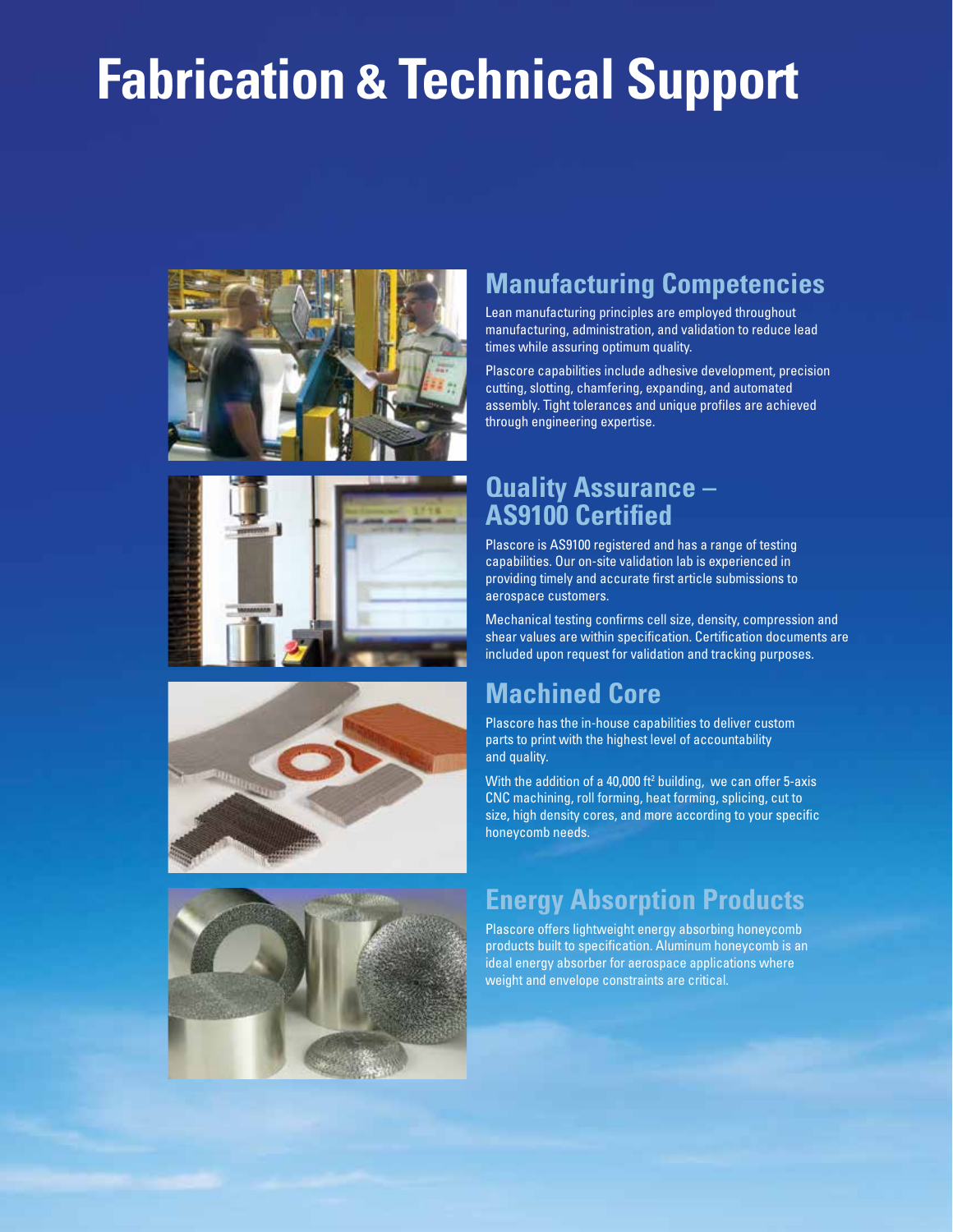# **Fabrication & Technical Support**









# **Manufacturing Competencies**

Lean manufacturing principles are employed throughout manufacturing, administration, and validation to reduce lead times while assuring optimum quality.

Plascore capabilities include adhesive development, precision cutting, slotting, chamfering, expanding, and automated assembly. Tight tolerances and unique profiles are achieved through engineering expertise.

#### **Quality Assurance – AS9100 Certified**

Plascore is AS9100 registered and has a range of testing capabilities. Our on-site validation lab is experienced in providing timely and accurate first article submissions to aerospace customers.

Mechanical testing confirms cell size, density, compression and shear values are within specification. Certification documents are included upon request for validation and tracking purposes.

## **Machined Core**

Plascore has the in-house capabilities to deliver custom parts to print with the highest level of accountability and quality.

With the addition of a 40,000  $ft^2$  building, we can offer 5-axis CNC machining, roll forming, heat forming, splicing, cut to size, high density cores, and more according to your specific honeycomb needs.

## **Energy Absorption Products**

Plascore offers lightweight energy absorbing honeycomb products built to specification. Aluminum honeycomb is an ideal energy absorber for aerospace applications where weight and envelope constraints are critical.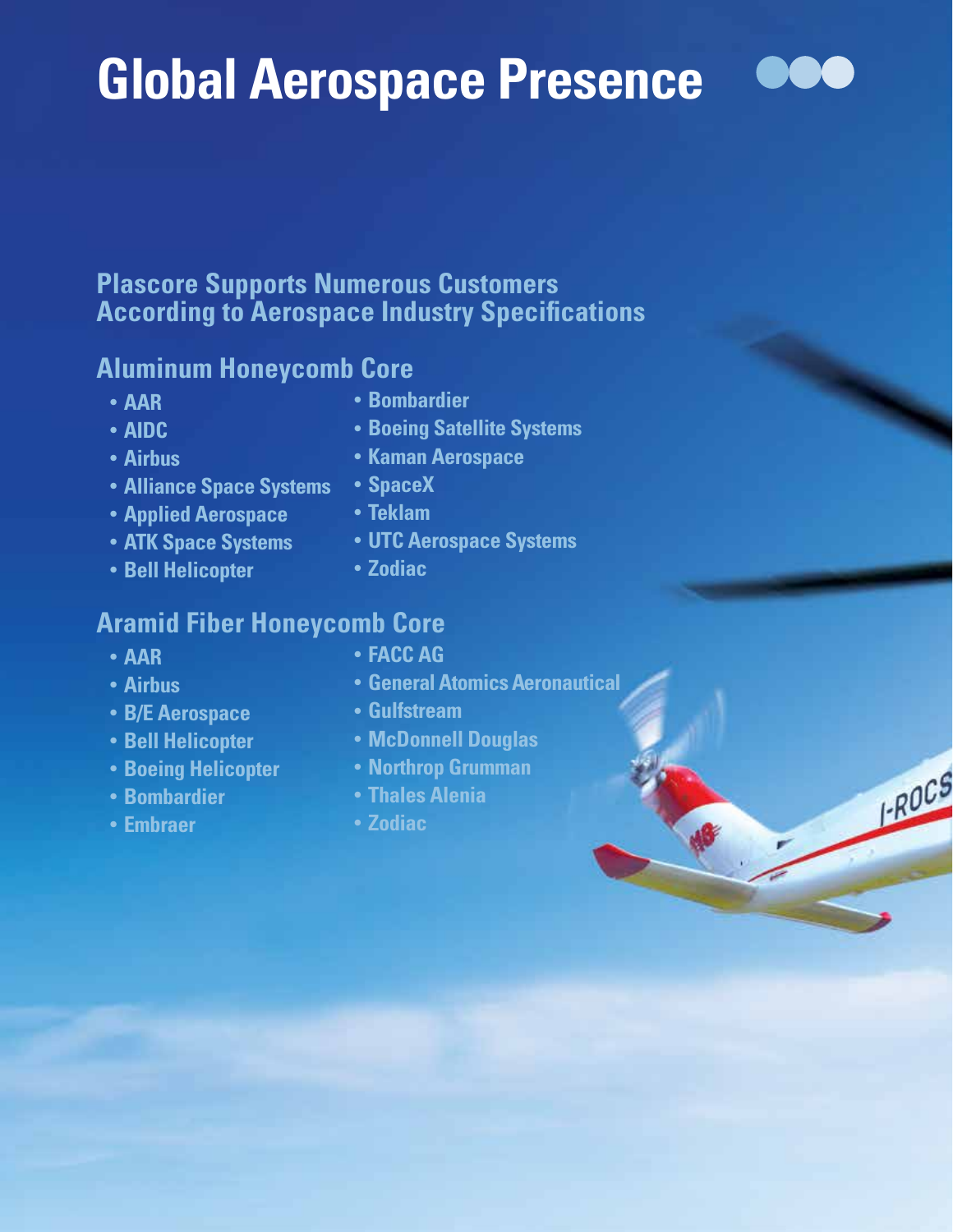# **Global Aerospace Presence**

## **Plascore Supports Numerous Customers According to Aerospace Industry Specifications**

## **Aluminum Honeycomb Core**

- **• AAR**
- **• AIDC**
- **• Airbus**
- **• Alliance Space Systems**
- **• Applied Aerospace**
- **• ATK Space Systems**
- **• Bell Helicopter**
- **• Bombardier**
- **• Boeing Satellite Systems**
- **• Kaman Aerospace**
- **• SpaceX**
- **• Teklam**
- **• UTC Aerospace Systems**
- **• Zodiac**

## **Aramid Fiber Honeycomb Core**

- **• AAR**
- **• Airbus**
- **• B/E Aerospace**
- **• Bell Helicopter**
- **• Boeing Helicopter**
- **• Bombardier**
- **• Embraer**
- **• FACC AG**
- **• General Atomics Aeronautical**
- **• Gulfstream**
- **• McDonnell Douglas**
- **• Northrop Grumman**
- **• Thales Alenia**
- **• Zodiac**



**FROCS**